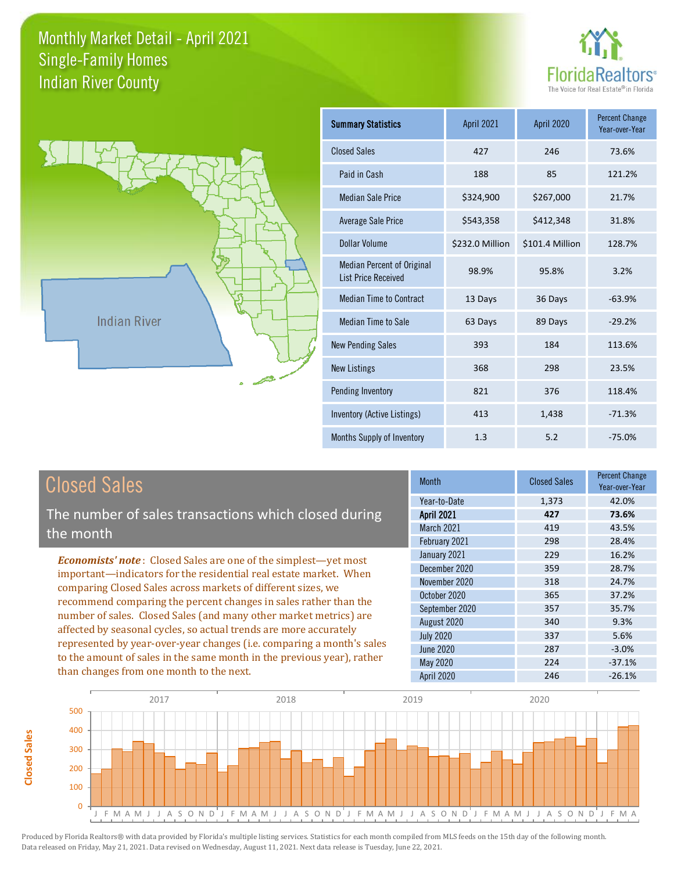



**Closed Sales**

**Closed Sales** 

| <b>Summary Statistics</b>                                       | <b>April 2021</b> | <b>April 2020</b> | <b>Percent Change</b><br>Year-over-Year |
|-----------------------------------------------------------------|-------------------|-------------------|-----------------------------------------|
| <b>Closed Sales</b>                                             | 427               | 246               | 73.6%                                   |
| Paid in Cash                                                    | 188               | 85                | 121.2%                                  |
| <b>Median Sale Price</b>                                        | \$324,900         | \$267,000         | 21.7%                                   |
| Average Sale Price                                              | \$543,358         | \$412,348         | 31.8%                                   |
| Dollar Volume                                                   | \$232.0 Million   | \$101.4 Million   | 128.7%                                  |
| <b>Median Percent of Original</b><br><b>List Price Received</b> | 98.9%             | 95.8%             | 3.2%                                    |
| <b>Median Time to Contract</b>                                  | 13 Days           | 36 Days           | $-63.9%$                                |
| Median Time to Sale                                             | 63 Days           | 89 Days           | $-29.2%$                                |
| <b>New Pending Sales</b>                                        | 393               | 184               | 113.6%                                  |
| <b>New Listings</b>                                             | 368               | 298               | 23.5%                                   |
| Pending Inventory                                               | 821               | 376               | 118.4%                                  |
| Inventory (Active Listings)                                     | 413               | 1,438             | $-71.3%$                                |
| Months Supply of Inventory                                      | 1.3               | 5.2               | $-75.0%$                                |

| <b>Closed Sales</b>                                                                                                                        | <b>Month</b>      | <b>Closed Sales</b> | <b>Percent Change</b><br>Year-over-Year |
|--------------------------------------------------------------------------------------------------------------------------------------------|-------------------|---------------------|-----------------------------------------|
|                                                                                                                                            | Year-to-Date      | 1,373               | 42.0%                                   |
| The number of sales transactions which closed during                                                                                       | <b>April 2021</b> | 427                 | 73.6%                                   |
| the month                                                                                                                                  | March 2021        | 419                 | 43.5%                                   |
|                                                                                                                                            | February 2021     | 298                 | 28.4%                                   |
| <b>Economists' note:</b> Closed Sales are one of the simplest—yet most                                                                     | January 2021      | 229                 | 16.2%                                   |
| important—indicators for the residential real estate market. When                                                                          | December 2020     | 359                 | 28.7%                                   |
| comparing Closed Sales across markets of different sizes, we                                                                               | November 2020     | 318                 | 24.7%                                   |
| recommend comparing the percent changes in sales rather than the                                                                           | October 2020      | 365                 | 37.2%                                   |
| number of sales. Closed Sales (and many other market metrics) are                                                                          | September 2020    | 357                 | 35.7%                                   |
| affected by seasonal cycles, so actual trends are more accurately<br>represented by year-over-year changes (i.e. comparing a month's sales | August 2020       | 340                 | 9.3%                                    |
|                                                                                                                                            | <b>July 2020</b>  | 337                 | 5.6%                                    |
|                                                                                                                                            | June 2020         | 287                 | $-3.0%$                                 |
| to the amount of sales in the same month in the previous year), rather                                                                     | May 2020          | 224                 | $-37.1%$                                |
| than changes from one month to the next.                                                                                                   | <b>April 2020</b> | 246                 | $-26.1%$                                |

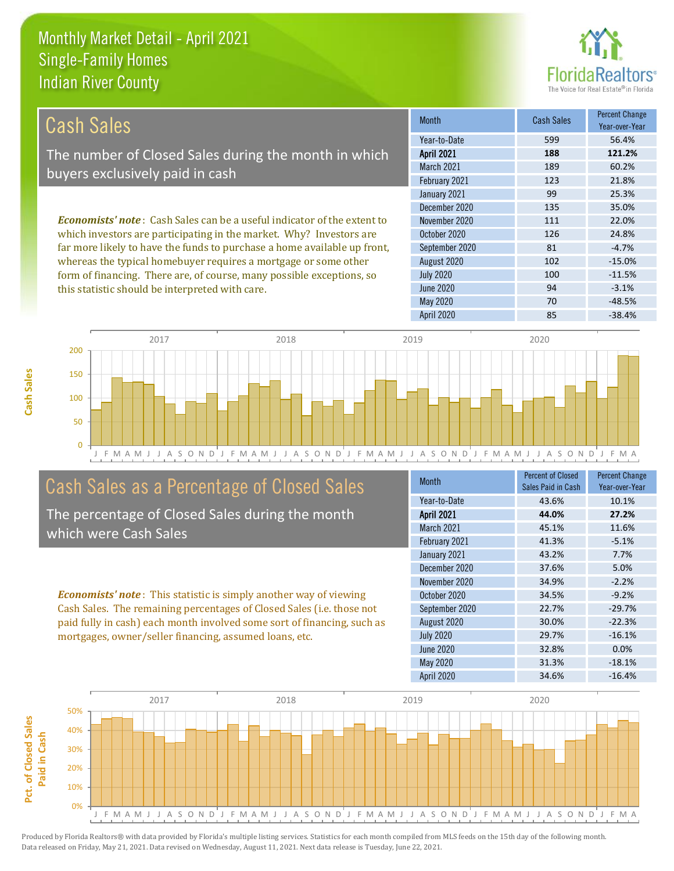this statistic should be interpreted with care.



94 -3.1%

| Cash Sales                                                                     | <b>Month</b>      | <b>Cash Sales</b> | <b>Percent Change</b><br>Year-over-Year |
|--------------------------------------------------------------------------------|-------------------|-------------------|-----------------------------------------|
|                                                                                | Year-to-Date      | 599               | 56.4%                                   |
| The number of Closed Sales during the month in which                           | <b>April 2021</b> | 188               | 121.2%                                  |
| buyers exclusively paid in cash                                                | March 2021        | 189               | 60.2%                                   |
|                                                                                | February 2021     | 123               | 21.8%                                   |
|                                                                                | January 2021      | 99                | 25.3%                                   |
|                                                                                | December 2020     | 135               | 35.0%                                   |
| <b>Economists' note:</b> Cash Sales can be a useful indicator of the extent to | November 2020     | 111               | 22.0%                                   |
| which investors are participating in the market. Why? Investors are            | October 2020      | 126               | 24.8%                                   |
| far more likely to have the funds to purchase a home available up front,       | September 2020    | 81                | $-4.7%$                                 |
| whereas the typical homebuyer requires a mortgage or some other                | August 2020       | 102               | $-15.0%$                                |
| form of financing. There are, of course, many possible exceptions, so          | <b>July 2020</b>  | 100               | $-11.5%$                                |

J F M A M J J A S O N D J F M A M J J A S O N D J F M A M J J A S O N D J F M A M J J A S O N D J F M A 0 50 100 150 200 2017 2018 2019 2020

#### Cash Sales as a Percentage of Closed Sales

The percentage of Closed Sales during the month which were Cash Sales

*Economists' note* : This statistic is simply another way of viewing Cash Sales. The remaining percentages of Closed Sales (i.e. those not paid fully in cash) each month involved some sort of financing, such as mortgages, owner/seller financing, assumed loans, etc.

| Month             | <b>Percent of Closed</b><br>Sales Paid in Cash | <b>Percent Change</b><br>Year-over-Year |
|-------------------|------------------------------------------------|-----------------------------------------|
| Year-to-Date      | 43.6%                                          | 10.1%                                   |
| <b>April 2021</b> | 44.0%                                          | 27.2%                                   |
| March 2021        | 45.1%                                          | 11.6%                                   |
| February 2021     | 41.3%                                          | $-5.1%$                                 |
| January 2021      | 43.2%                                          | 7.7%                                    |
| December 2020     | 37.6%                                          | 5.0%                                    |
| November 2020     | 34.9%                                          | $-2.2%$                                 |
| October 2020      | 34.5%                                          | $-9.2%$                                 |
| September 2020    | 22.7%                                          | $-29.7%$                                |
| August 2020       | 30.0%                                          | $-22.3%$                                |
| <b>July 2020</b>  | 29.7%                                          | $-16.1%$                                |
| <b>June 2020</b>  | 32.8%                                          | 0.0%                                    |
| <b>May 2020</b>   | 31.3%                                          | $-18.1%$                                |
| <b>April 2020</b> | 34.6%                                          | $-16.4%$                                |

April 2020 85 -38.4%

May 2020 70 -48.5%

June 2020

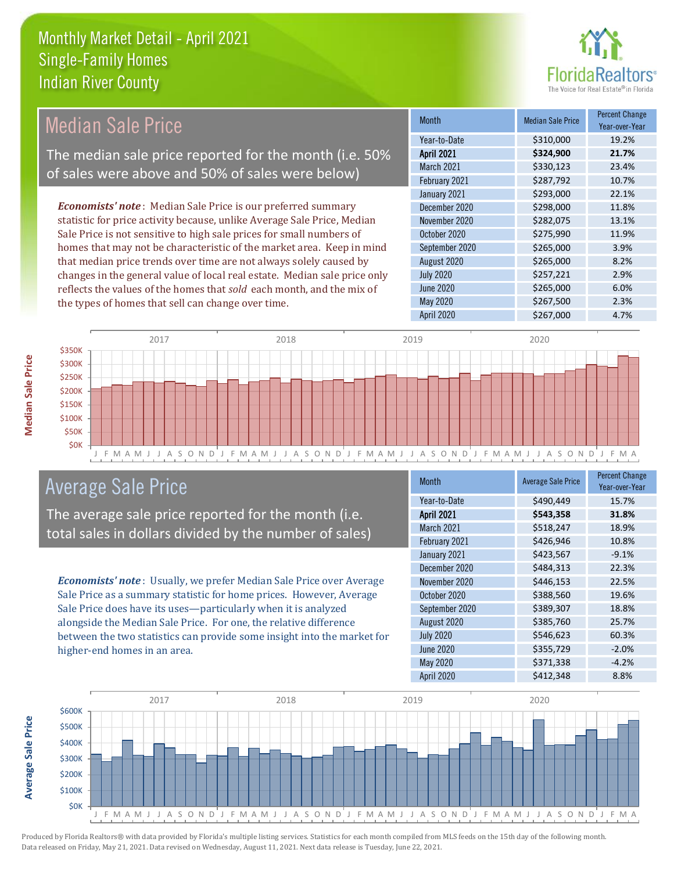

#### Month Median Sale Price Percent Change Year-over-Year April 2021 **\$324,900 21.7%** Year-to-Date \$310,000 19.2% September 2020 \$265,000 \$265,000 March 2021 **\$330,123** 23.4% February 2021 **\$287,792** 10.7% November 2020 **\$282,075** 13.1% October 2020 \$275,990 11.9% January 2021 **\$293,000** 22.1% December 2020 \$298,000 11.8% August 2020 \$265,000 8.2% July 2020 \$257,221 2.9% June 2020 **\$265,000** \$265,000 6.0% May 2020 \$267,500 2.3% *Economists' note* : Median Sale Price is our preferred summary statistic for price activity because, unlike Average Sale Price, Median Sale Price is not sensitive to high sale prices for small numbers of homes that may not be characteristic of the market area. Keep in mind that median price trends over time are not always solely caused by changes in the general value of local real estate. Median sale price only reflects the values of the homes that *sold* each month, and the mix of the types of homes that sell can change over time. Median Sale Price The median sale price reported for the month (i.e. 50% of sales were above and 50% of sales were below)



#### Average Sale Price

The average sale price reported for the month (i.e. total sales in dollars divided by the number of sales)

*Economists' note* : Usually, we prefer Median Sale Price over Average Sale Price as a summary statistic for home prices. However, Average Sale Price does have its uses—particularly when it is analyzed alongside the Median Sale Price. For one, the relative difference between the two statistics can provide some insight into the market for higher-end homes in an area.

| Month             | <b>Average Sale Price</b> | <b>Percent Change</b><br>Year-over-Year |
|-------------------|---------------------------|-----------------------------------------|
| Year-to-Date      | \$490,449                 | 15.7%                                   |
| <b>April 2021</b> | \$543,358                 | 31.8%                                   |
| <b>March 2021</b> | \$518,247                 | 18.9%                                   |
| February 2021     | \$426,946                 | 10.8%                                   |
| January 2021      | \$423,567                 | $-9.1%$                                 |
| December 2020     | \$484,313                 | 22.3%                                   |
| November 2020     | \$446,153                 | 22.5%                                   |
| October 2020      | \$388,560                 | 19.6%                                   |
| September 2020    | \$389,307                 | 18.8%                                   |
| August 2020       | \$385,760                 | 25.7%                                   |
| <b>July 2020</b>  | \$546,623                 | 60.3%                                   |
| <b>June 2020</b>  | \$355,729                 | $-2.0%$                                 |
| May 2020          | \$371,338                 | $-4.2%$                                 |
| April 2020        | \$412,348                 | 8.8%                                    |

April 2020 \$267,000 4.7%

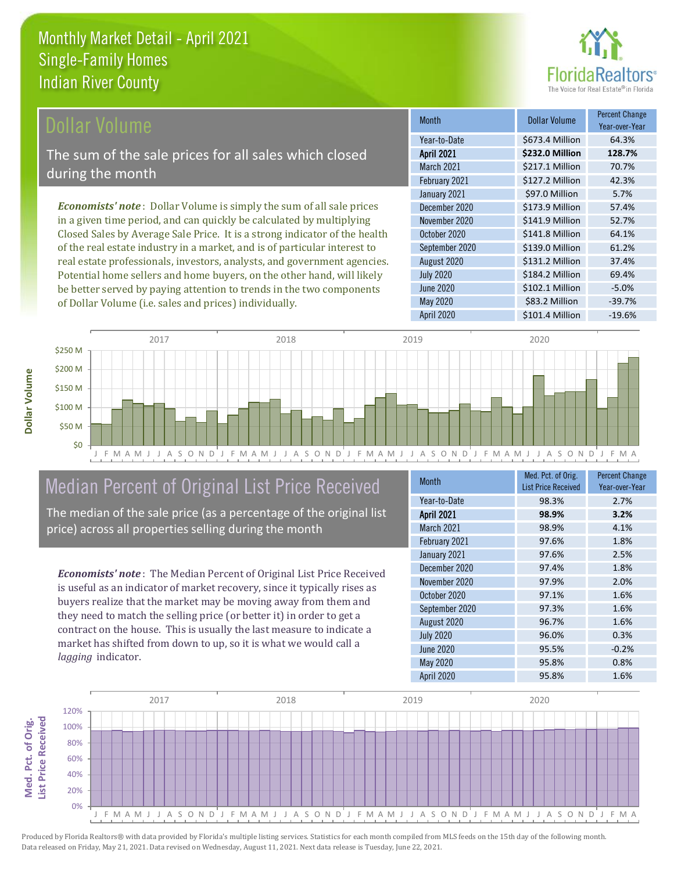

#### Dollar Volume

The sum of the sale prices for all sales which closed during the month

*Economists' note* : Dollar Volume is simply the sum of all sale prices in a given time period, and can quickly be calculated by multiplying Closed Sales by Average Sale Price. It is a strong indicator of the health of the real estate industry in a market, and is of particular interest to real estate professionals, investors, analysts, and government agencies. Potential home sellers and home buyers, on the other hand, will likely be better served by paying attention to trends in the two components of Dollar Volume (i.e. sales and prices) individually.

| Month             | <b>Dollar Volume</b> | <b>Percent Change</b><br>Year-over-Year |
|-------------------|----------------------|-----------------------------------------|
| Year-to-Date      | \$673.4 Million      | 64.3%                                   |
| <b>April 2021</b> | \$232.0 Million      | 128.7%                                  |
| March 2021        | \$217.1 Million      | 70.7%                                   |
| February 2021     | \$127.2 Million      | 42.3%                                   |
| January 2021      | \$97.0 Million       | 5.7%                                    |
| December 2020     | \$173.9 Million      | 57.4%                                   |
| November 2020     | \$141.9 Million      | 52.7%                                   |
| October 2020      | \$141.8 Million      | 64.1%                                   |
| September 2020    | \$139.0 Million      | 61.2%                                   |
| August 2020       | \$131.2 Million      | 37.4%                                   |
| <b>July 2020</b>  | \$184.2 Million      | 69.4%                                   |
| <b>June 2020</b>  | \$102.1 Million      | $-5.0%$                                 |
| <b>May 2020</b>   | \$83.2 Million       | $-39.7%$                                |
| April 2020        | \$101.4 Million      | $-19.6%$                                |



#### Median Percent of Original List Price Received

The median of the sale price (as a percentage of the original list price) across all properties selling during the month

*Economists' note* : The Median Percent of Original List Price Received is useful as an indicator of market recovery, since it typically rises as buyers realize that the market may be moving away from them and they need to match the selling price (or better it) in order to get a contract on the house. This is usually the last measure to indicate a market has shifted from down to up, so it is what we would call a *lagging* indicator.

| <b>Month</b>      | Med. Pct. of Orig.<br><b>List Price Received</b> | <b>Percent Change</b><br>Year-over-Year |
|-------------------|--------------------------------------------------|-----------------------------------------|
| Year-to-Date      | 98.3%                                            | 2.7%                                    |
| <b>April 2021</b> | 98.9%                                            | 3.2%                                    |
| March 2021        | 98.9%                                            | 4.1%                                    |
| February 2021     | 97.6%                                            | 1.8%                                    |
| January 2021      | 97.6%                                            | 2.5%                                    |
| December 2020     | 97.4%                                            | 1.8%                                    |
| November 2020     | 97.9%                                            | 2.0%                                    |
| October 2020      | 97.1%                                            | 1.6%                                    |
| September 2020    | 97.3%                                            | 1.6%                                    |
| August 2020       | 96.7%                                            | 1.6%                                    |
| <b>July 2020</b>  | 96.0%                                            | 0.3%                                    |
| <b>June 2020</b>  | 95.5%                                            | $-0.2%$                                 |
| <b>May 2020</b>   | 95.8%                                            | 0.8%                                    |
| April 2020        | 95.8%                                            | 1.6%                                    |

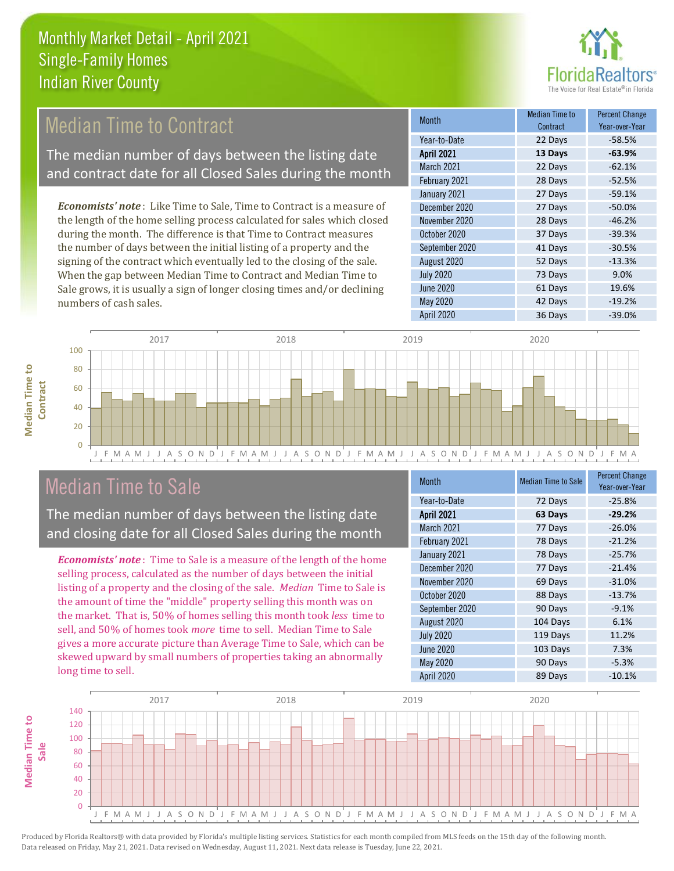

### **Median Time to Contract**

The median number of days between the listing date and contract date for all Closed Sales during the month

*Economists' note* : Like Time to Sale, Time to Contract is a measure of the length of the home selling process calculated for sales which closed during the month. The difference is that Time to Contract measures the number of days between the initial listing of a property and the signing of the contract which eventually led to the closing of the sale. When the gap between Median Time to Contract and Median Time to Sale grows, it is usually a sign of longer closing times and/or declining numbers of cash sales.

| <b>Month</b>      | Median Time to<br>Contract | <b>Percent Change</b><br>Year-over-Year |
|-------------------|----------------------------|-----------------------------------------|
| Year-to-Date      | 22 Days                    | $-58.5%$                                |
| <b>April 2021</b> | 13 Days                    | $-63.9%$                                |
| March 2021        | 22 Days                    | $-62.1%$                                |
| February 2021     | 28 Days                    | $-52.5%$                                |
| January 2021      | 27 Days                    | $-59.1%$                                |
| December 2020     | 27 Days                    | $-50.0%$                                |
| November 2020     | 28 Days                    | $-46.2%$                                |
| October 2020      | 37 Days                    | $-39.3%$                                |
| September 2020    | 41 Days                    | $-30.5%$                                |
| August 2020       | 52 Days                    | $-13.3%$                                |
| <b>July 2020</b>  | 73 Days                    | 9.0%                                    |
| <b>June 2020</b>  | 61 Days                    | 19.6%                                   |
| <b>May 2020</b>   | 42 Days                    | $-19.2%$                                |
| April 2020        | 36 Days                    | $-39.0%$                                |



#### Median Time to Sale

**Median Time to** 

**Median Time to** 

The median number of days between the listing date and closing date for all Closed Sales during the month

*Economists' note* : Time to Sale is a measure of the length of the home selling process, calculated as the number of days between the initial listing of a property and the closing of the sale. *Median* Time to Sale is the amount of time the "middle" property selling this month was on the market. That is, 50% of homes selling this month took *less* time to sell, and 50% of homes took *more* time to sell. Median Time to Sale gives a more accurate picture than Average Time to Sale, which can be skewed upward by small numbers of properties taking an abnormally long time to sell.

| <b>Month</b>      | <b>Median Time to Sale</b> | <b>Percent Change</b><br>Year-over-Year |
|-------------------|----------------------------|-----------------------------------------|
| Year-to-Date      | 72 Days                    | $-25.8%$                                |
| <b>April 2021</b> | 63 Days                    | $-29.2%$                                |
| <b>March 2021</b> | 77 Days                    | $-26.0%$                                |
| February 2021     | 78 Days                    | $-21.2%$                                |
| January 2021      | 78 Days                    | $-25.7%$                                |
| December 2020     | 77 Days                    | $-21.4%$                                |
| November 2020     | 69 Days                    | $-31.0%$                                |
| October 2020      | 88 Days                    | $-13.7%$                                |
| September 2020    | 90 Days                    | $-9.1%$                                 |
| August 2020       | 104 Days                   | 6.1%                                    |
| <b>July 2020</b>  | 119 Days                   | 11.2%                                   |
| <b>June 2020</b>  | 103 Days                   | 7.3%                                    |
| May 2020          | 90 Days                    | $-5.3%$                                 |
| April 2020        | 89 Days                    | $-10.1%$                                |

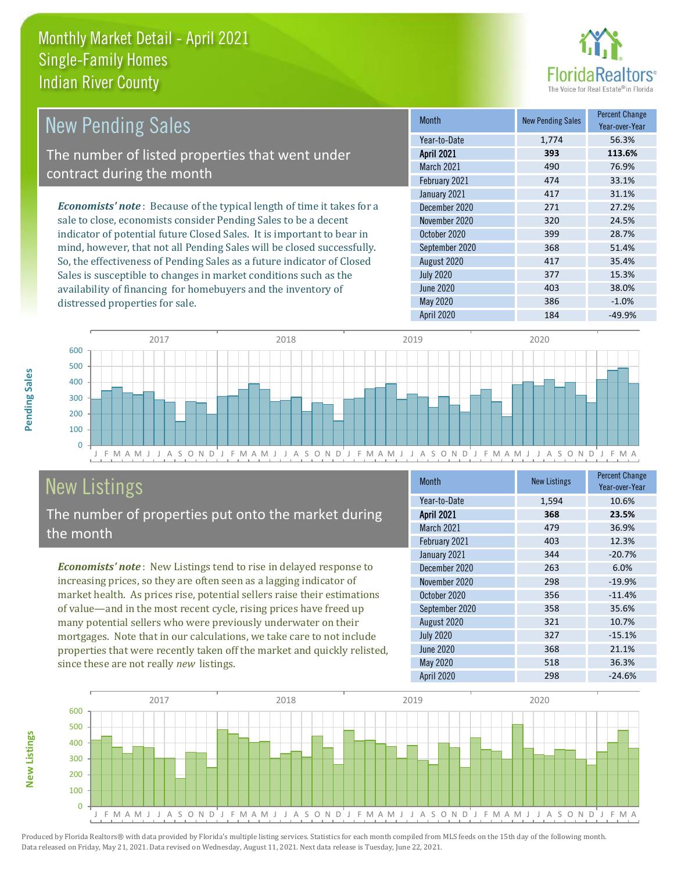distressed properties for sale.



| <b>New Pending Sales</b>                                                       | <b>Month</b>      | <b>New Pending Sales</b> | <b>Percent Change</b><br>Year-over-Year |
|--------------------------------------------------------------------------------|-------------------|--------------------------|-----------------------------------------|
|                                                                                | Year-to-Date      | 1.774                    | 56.3%                                   |
| The number of listed properties that went under                                | <b>April 2021</b> | 393                      | 113.6%                                  |
| contract during the month                                                      | <b>March 2021</b> | 490                      | 76.9%                                   |
|                                                                                | February 2021     | 474                      | 33.1%                                   |
|                                                                                | January 2021      | 417                      | 31.1%                                   |
| <b>Economists' note</b> : Because of the typical length of time it takes for a | December 2020     | 271                      | 27.2%                                   |
| sale to close, economists consider Pending Sales to be a decent                | November 2020     | 320                      | 24.5%                                   |
| indicator of potential future Closed Sales. It is important to bear in         | October 2020      | 399                      | 28.7%                                   |
| mind, however, that not all Pending Sales will be closed successfully.         | September 2020    | 368                      | 51.4%                                   |
| So, the effectiveness of Pending Sales as a future indicator of Closed         | August 2020       | 417                      | 35.4%                                   |
| Sales is susceptible to changes in market conditions such as the               | <b>July 2020</b>  | 377                      | 15.3%                                   |



## New Listings

The number of properties put onto the market during the month

availability of financing for homebuyers and the inventory of

*Economists' note* : New Listings tend to rise in delayed response to increasing prices, so they are often seen as a lagging indicator of market health. As prices rise, potential sellers raise their estimations of value—and in the most recent cycle, rising prices have freed up many potential sellers who were previously underwater on their mortgages. Note that in our calculations, we take care to not include properties that were recently taken off the market and quickly relisted, since these are not really *new* listings.

| <b>Month</b>      | <b>New Listings</b> | <b>Percent Change</b><br>Year-over-Year |
|-------------------|---------------------|-----------------------------------------|
| Year-to-Date      | 1,594               | 10.6%                                   |
| <b>April 2021</b> | 368                 | 23.5%                                   |
| March 2021        | 479                 | 36.9%                                   |
| February 2021     | 403                 | 12.3%                                   |
| January 2021      | 344                 | $-20.7%$                                |
| December 2020     | 263                 | 6.0%                                    |
| November 2020     | 298                 | $-19.9%$                                |
| October 2020      | 356                 | $-11.4%$                                |
| September 2020    | 358                 | 35.6%                                   |
| August 2020       | 321                 | 10.7%                                   |
| <b>July 2020</b>  | 327                 | $-15.1%$                                |
| <b>June 2020</b>  | 368                 | 21.1%                                   |
| <b>May 2020</b>   | 518                 | 36.3%                                   |
| April 2020        | 298                 | $-24.6%$                                |

June 2020 **403** 403 38.0% May 2020 386 -1.0% April 2020 184 -49.9%



**New Listings**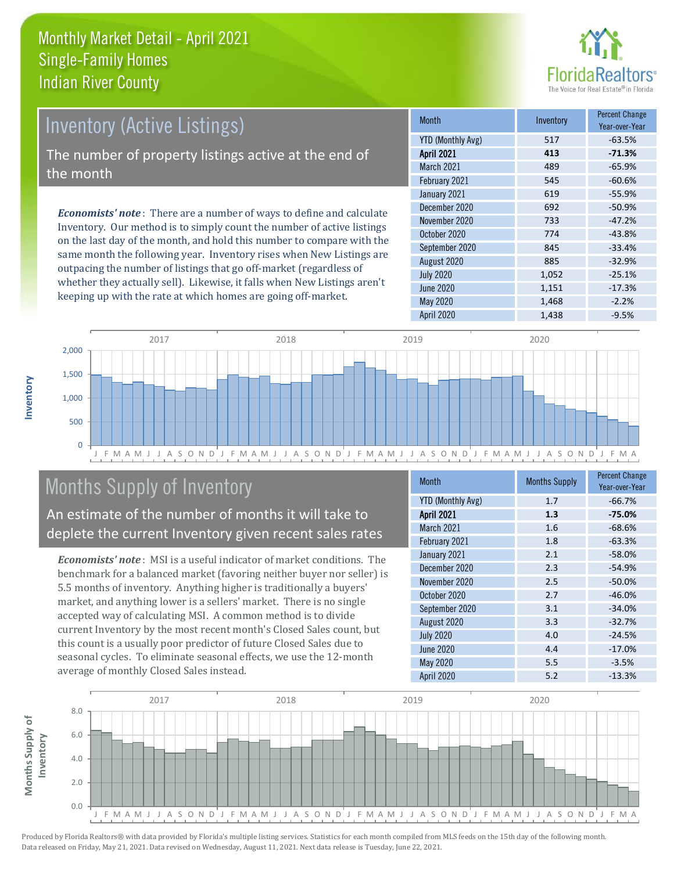

# Inventory (Active Listings)

The number of property listings active at the end of the month

*Economists' note* : There are a number of ways to define and calculate Inventory. Our method is to simply count the number of active listings on the last day of the month, and hold this number to compare with the same month the following year. Inventory rises when New Listings are outpacing the number of listings that go off-market (regardless of whether they actually sell). Likewise, it falls when New Listings aren't keeping up with the rate at which homes are going off-market.

| <b>Month</b>             | Inventory | <b>Percent Change</b><br>Year-over-Year |
|--------------------------|-----------|-----------------------------------------|
| <b>YTD (Monthly Avg)</b> | 517       | $-63.5%$                                |
| <b>April 2021</b>        | 413       | $-71.3%$                                |
| <b>March 2021</b>        | 489       | $-65.9%$                                |
| February 2021            | 545       | $-60.6%$                                |
| January 2021             | 619       | $-55.9%$                                |
| December 2020            | 692       | $-50.9%$                                |
| November 2020            | 733       | $-47.2%$                                |
| October 2020             | 774       | $-43.8%$                                |
| September 2020           | 845       | $-33.4%$                                |
| August 2020              | 885       | $-32.9%$                                |
| <b>July 2020</b>         | 1,052     | $-25.1%$                                |
| <b>June 2020</b>         | 1,151     | $-17.3%$                                |
| <b>May 2020</b>          | 1,468     | $-2.2%$                                 |
| <b>April 2020</b>        | 1,438     | $-9.5%$                                 |



### Months Supply of Inventory

An estimate of the number of months it will take to deplete the current Inventory given recent sales rates

*Economists' note* : MSI is a useful indicator of market conditions. The benchmark for a balanced market (favoring neither buyer nor seller) is 5.5 months of inventory. Anything higher is traditionally a buyers' market, and anything lower is a sellers' market. There is no single accepted way of calculating MSI. A common method is to divide current Inventory by the most recent month's Closed Sales count, but this count is a usually poor predictor of future Closed Sales due to seasonal cycles. To eliminate seasonal effects, we use the 12-month average of monthly Closed Sales instead.

| <b>Month</b>             | <b>Months Supply</b> | <b>Percent Change</b><br>Year-over-Year |
|--------------------------|----------------------|-----------------------------------------|
| <b>YTD (Monthly Avg)</b> | 1.7                  | $-66.7%$                                |
| <b>April 2021</b>        | 1.3                  | $-75.0%$                                |
| March 2021               | 1.6                  | $-68.6%$                                |
| February 2021            | 1.8                  | $-63.3%$                                |
| January 2021             | 2.1                  | $-58.0%$                                |
| December 2020            | 2.3                  | $-54.9%$                                |
| November 2020            | 2.5                  | $-50.0%$                                |
| October 2020             | 2.7                  | $-46.0%$                                |
| September 2020           | 3.1                  | $-34.0%$                                |
| August 2020              | 3.3                  | $-32.7%$                                |
| <b>July 2020</b>         | 4.0                  | $-24.5%$                                |
| <b>June 2020</b>         | 4.4                  | $-17.0%$                                |
| <b>May 2020</b>          | 5.5                  | $-3.5%$                                 |
| <b>April 2020</b>        | 5.2                  | $-13.3%$                                |

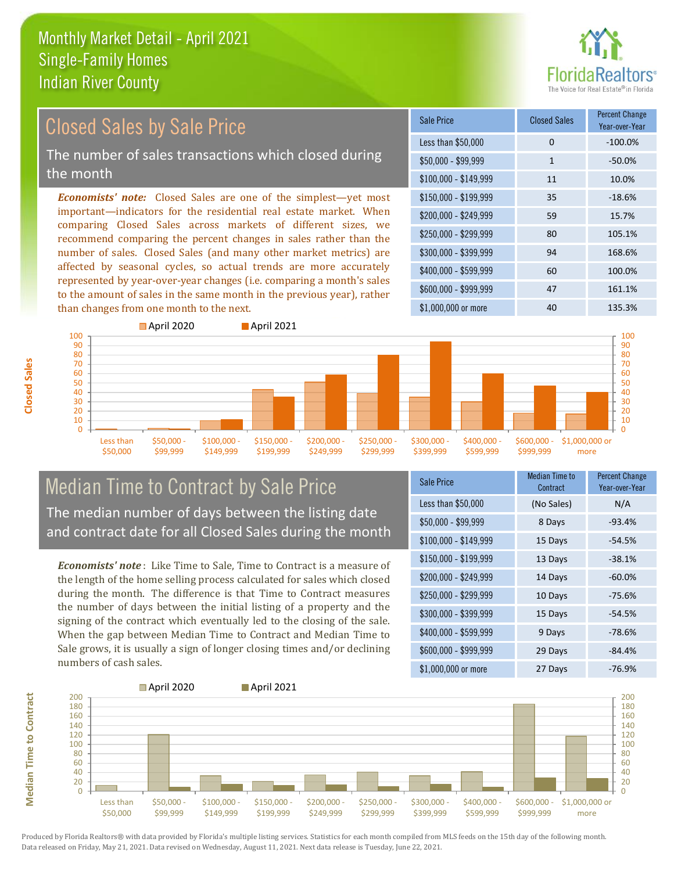

#### *Economists' note:* Closed Sales are one of the simplest—yet most important—indicators for the residential real estate market. When comparing Closed Sales across markets of different sizes, we recommend comparing the percent changes in sales rather than the number of sales. Closed Sales (and many other market metrics) are affected by seasonal cycles, so actual trends are more accurately represented by year-over-year changes (i.e. comparing a month's sales to the amount of sales in the same month in the previous year), rather than changes from one month to the next. \$1,000,000 or more 40 40 135.3% \$250,000 - \$299,999 80 105.1% \$300,000 - \$399,999 94 168.6% \$400,000 - \$599,999 60 100.0% \$600,000 - \$999,999 47 161.1% \$150,000 - \$199,999 35 -18.6% \$200,000 - \$249,999 59 15.7%  $$100,000 - $149,999$  11 10.0% Sale Price Closed Sales Percent Change Year-over-Year Less than \$50,000 0 0 -100.0%  $$50.000 - $99.999$  1 -50.0% Closed Sales by Sale Price The number of sales transactions which closed during the month



#### Median Time to Contract by Sale Price The median number of days between the listing date and contract date for all Closed Sales during the month

*Economists' note* : Like Time to Sale, Time to Contract is a measure of the length of the home selling process calculated for sales which closed during the month. The difference is that Time to Contract measures the number of days between the initial listing of a property and the signing of the contract which eventually led to the closing of the sale. When the gap between Median Time to Contract and Median Time to Sale grows, it is usually a sign of longer closing times and/or declining numbers of cash sales.

| <b>Sale Price</b>     | Median Time to<br>Contract | Percent Change<br>Year-over-Year |
|-----------------------|----------------------------|----------------------------------|
| Less than \$50,000    | (No Sales)                 | N/A                              |
| \$50,000 - \$99,999   | 8 Days                     | $-93.4%$                         |
| $$100,000 - $149,999$ | 15 Days                    | $-54.5%$                         |
| $$150,000 - $199,999$ | 13 Days                    | $-38.1%$                         |
| \$200,000 - \$249,999 | 14 Days                    | $-60.0%$                         |
| \$250,000 - \$299,999 | 10 Days                    | $-75.6%$                         |
| \$300,000 - \$399,999 | 15 Days                    | $-54.5%$                         |
| \$400,000 - \$599,999 | 9 Days                     | $-78.6%$                         |
| \$600,000 - \$999,999 | 29 Days                    | $-84.4%$                         |
| \$1,000,000 or more   | 27 Days                    | -76.9%                           |



Produced by Florida Realtors® with data provided by Florida's multiple listing services. Statistics for each month compiled from MLS feeds on the 15th day of the following month. Data released on Friday, May 21, 2021. Data revised on Wednesday, August 11, 2021. Next data release is Tuesday, June 22, 2021.

**Median Time to Contract**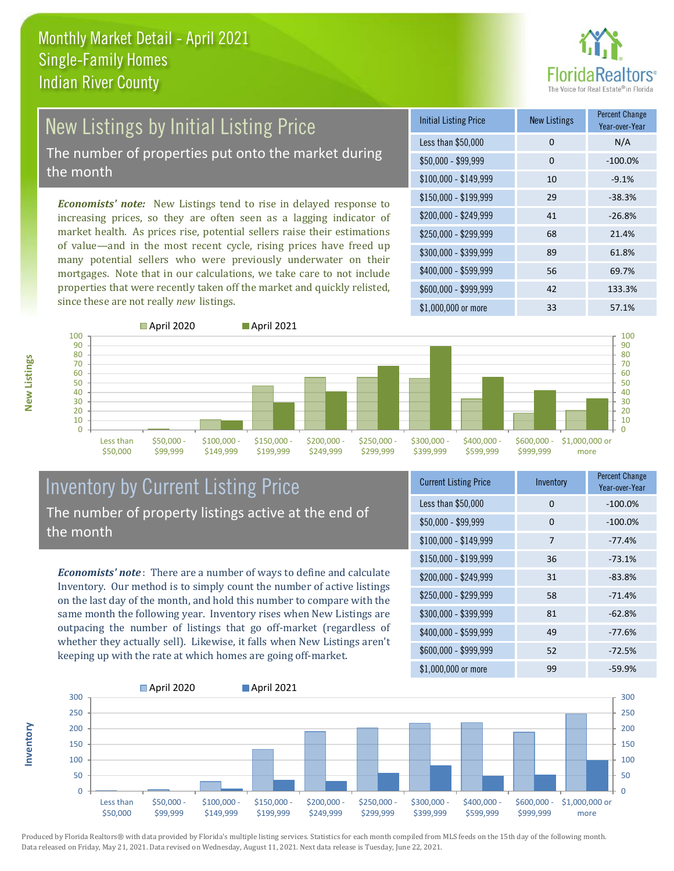

# New Listings by Initial Listing Price

The number of properties put onto the market during the month

*Economists' note:* New Listings tend to rise in delayed response to increasing prices, so they are often seen as a lagging indicator of market health. As prices rise, potential sellers raise their estimations of value—and in the most recent cycle, rising prices have freed up many potential sellers who were previously underwater on their mortgages. Note that in our calculations, we take care to not include properties that were recently taken off the market and quickly relisted, since these are not really *new* listings.

| <b>Initial Listing Price</b> | <b>New Listings</b> | <b>Percent Change</b><br>Year-over-Year |
|------------------------------|---------------------|-----------------------------------------|
| Less than \$50,000           | 0                   | N/A                                     |
| $$50,000 - $99,999$          | 0                   | $-100.0%$                               |
| $$100,000 - $149,999$        | 10                  | $-9.1%$                                 |
| $$150,000 - $199,999$        | 29                  | $-38.3%$                                |
| \$200,000 - \$249,999        | 41                  | $-26.8%$                                |
| \$250,000 - \$299,999        | 68                  | 21.4%                                   |
| \$300,000 - \$399,999        | 89                  | 61.8%                                   |
| \$400,000 - \$599,999        | 56                  | 69.7%                                   |
| \$600,000 - \$999,999        | 42                  | 133.3%                                  |
| \$1,000,000 or more          | 33                  | 57.1%                                   |



#### Inventory by Current Listing Price The number of property listings active at the end of the month

*Economists' note* : There are a number of ways to define and calculate Inventory. Our method is to simply count the number of active listings on the last day of the month, and hold this number to compare with the same month the following year. Inventory rises when New Listings are outpacing the number of listings that go off-market (regardless of whether they actually sell). Likewise, it falls when New Listings aren't keeping up with the rate at which homes are going off-market.

| <b>Current Listing Price</b> | Inventory | <b>Percent Change</b><br>Year-over-Year |
|------------------------------|-----------|-----------------------------------------|
| Less than \$50,000           | 0         | $-100.0%$                               |
| $$50,000 - $99,999$          | 0         | $-100.0%$                               |
| $$100,000 - $149,999$        | 7         | $-77.4%$                                |
| $$150,000 - $199,999$        | 36        | $-73.1%$                                |
| \$200,000 - \$249,999        | 31        | $-83.8%$                                |
| \$250,000 - \$299,999        | 58        | $-71.4%$                                |
| \$300,000 - \$399,999        | 81        | $-62.8%$                                |
| \$400,000 - \$599,999        | 49        | $-77.6%$                                |
| \$600,000 - \$999,999        | 52        | $-72.5%$                                |
| \$1,000,000 or more          | 99        | $-59.9%$                                |



Produced by Florida Realtors® with data provided by Florida's multiple listing services. Statistics for each month compiled from MLS feeds on the 15th day of the following month. Data released on Friday, May 21, 2021. Data revised on Wednesday, August 11, 2021. Next data release is Tuesday, June 22, 2021.

**Inventory**